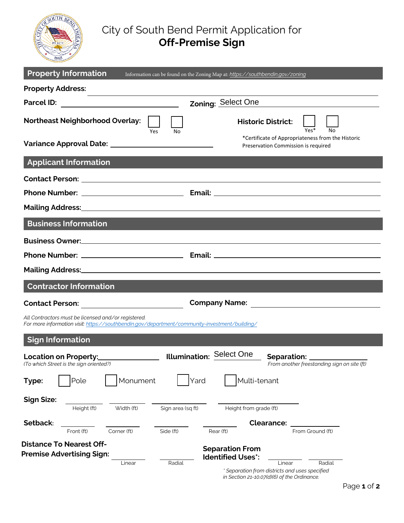

## City of South Bend Permit Application for **Off-Premise Sign**

| <b>Property Information</b>                                                                                                                          | Information can be found on the Zoning Map at: https://southbendin.gov/zoning                 |
|------------------------------------------------------------------------------------------------------------------------------------------------------|-----------------------------------------------------------------------------------------------|
| <b>Property Address:</b>                                                                                                                             |                                                                                               |
|                                                                                                                                                      | Zoning: Select One                                                                            |
| <b>Northeast Neighborhood Overlay:</b><br>Yes<br>No                                                                                                  | <b>Historic District:</b><br>$\frac{1}{\gamma_{\text{es}}*}$<br>No                            |
|                                                                                                                                                      | *Certificate of Appropriateness from the Historic<br>Preservation Commission is required      |
| <b>Applicant Information</b>                                                                                                                         |                                                                                               |
|                                                                                                                                                      |                                                                                               |
|                                                                                                                                                      |                                                                                               |
|                                                                                                                                                      |                                                                                               |
| <b>Business Information</b>                                                                                                                          |                                                                                               |
|                                                                                                                                                      |                                                                                               |
|                                                                                                                                                      |                                                                                               |
|                                                                                                                                                      |                                                                                               |
| <b>Contractor Information</b>                                                                                                                        |                                                                                               |
|                                                                                                                                                      |                                                                                               |
| All Contractors must be licensed and/or registered.<br>For more information visit: https://southbendin.gov/department/community-investment/building/ |                                                                                               |
| <b>Sign Information</b>                                                                                                                              |                                                                                               |
| (To which Street is the sign oriented?)                                                                                                              | <b>Separation:</b><br>From another freestanding sign on site (ft)                             |
| Monument<br>Pole<br>Type:                                                                                                                            | Multi-tenant<br>Yard                                                                          |
| <b>Sign Size:</b><br>Sign area (sq ft)<br>Height (ft)<br>Width (ft)                                                                                  | Height from grade (ft)                                                                        |
| Setback:                                                                                                                                             | <b>Clearance:</b>                                                                             |
| Front (ft)<br>Corner (ft)<br>Side (ft)                                                                                                               | Rear (ft)<br>From Ground (ft)                                                                 |
| <b>Distance To Nearest Off-</b><br><b>Premise Advertising Sign:</b><br>Radial<br>Linear                                                              | <b>Separation From</b><br><b>Identified Uses*:</b><br>Radial<br>Linear                        |
|                                                                                                                                                      | * Separation from districts and uses specified<br>in Section 21-10.07(d)(6) of the Ordinance. |